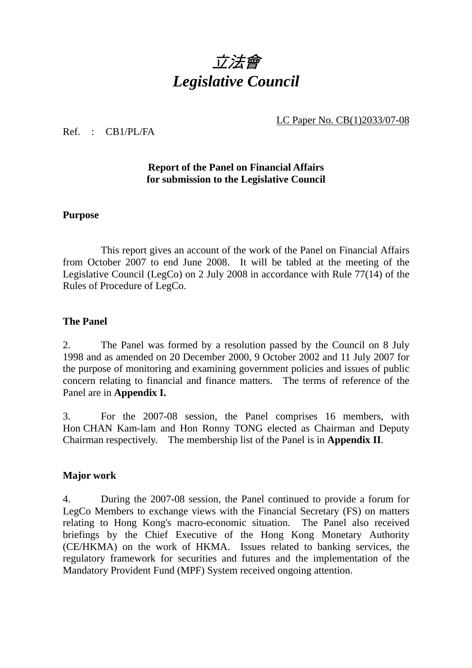

LC Paper No. CB(1)2033/07-08

#### Ref. : CB1/PL/FA

## **Report of the Panel on Financial Affairs for submission to the Legislative Council**

#### **Purpose**

 This report gives an account of the work of the Panel on Financial Affairs from October 2007 to end June 2008. It will be tabled at the meeting of the Legislative Council (LegCo) on 2 July 2008 in accordance with Rule 77(14) of the Rules of Procedure of LegCo.

### **The Panel**

2. The Panel was formed by a resolution passed by the Council on 8 July 1998 and as amended on 20 December 2000, 9 October 2002 and 11 July 2007 for the purpose of monitoring and examining government policies and issues of public concern relating to financial and finance matters. The terms of reference of the Panel are in **Appendix I.**

3. For the 2007-08 session, the Panel comprises 16 members, with Hon CHAN Kam-lam and Hon Ronny TONG elected as Chairman and Deputy Chairman respectively. The membership list of the Panel is in **Appendix II**.

### **Major work**

4. During the 2007-08 session, the Panel continued to provide a forum for LegCo Members to exchange views with the Financial Secretary (FS) on matters relating to Hong Kong's macro-economic situation. The Panel also received briefings by the Chief Executive of the Hong Kong Monetary Authority (CE/HKMA) on the work of HKMA. Issues related to banking services, the regulatory framework for securities and futures and the implementation of the Mandatory Provident Fund (MPF) System received ongoing attention.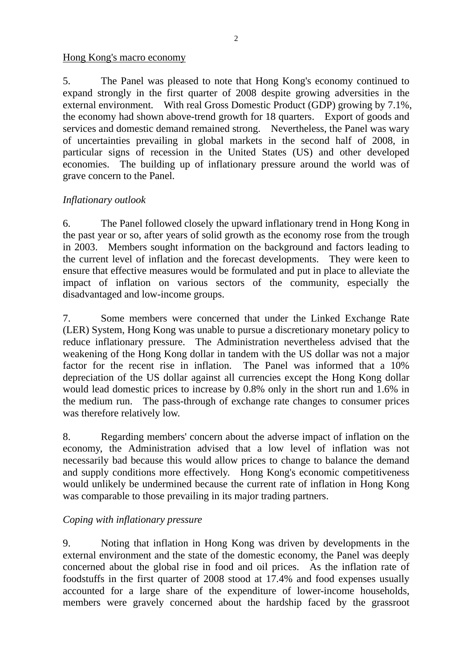#### Hong Kong's macro economy

5. The Panel was pleased to note that Hong Kong's economy continued to expand strongly in the first quarter of 2008 despite growing adversities in the external environment. With real Gross Domestic Product (GDP) growing by 7.1%, the economy had shown above-trend growth for 18 quarters. Export of goods and services and domestic demand remained strong. Nevertheless, the Panel was wary of uncertainties prevailing in global markets in the second half of 2008, in particular signs of recession in the United States (US) and other developed economies. The building up of inflationary pressure around the world was of grave concern to the Panel.

## *Inflationary outlook*

6. The Panel followed closely the upward inflationary trend in Hong Kong in the past year or so, after years of solid growth as the economy rose from the trough in 2003. Members sought information on the background and factors leading to the current level of inflation and the forecast developments. They were keen to ensure that effective measures would be formulated and put in place to alleviate the impact of inflation on various sectors of the community, especially the disadvantaged and low-income groups.

7. Some members were concerned that under the Linked Exchange Rate (LER) System, Hong Kong was unable to pursue a discretionary monetary policy to reduce inflationary pressure. The Administration nevertheless advised that the weakening of the Hong Kong dollar in tandem with the US dollar was not a major factor for the recent rise in inflation. The Panel was informed that a 10% depreciation of the US dollar against all currencies except the Hong Kong dollar would lead domestic prices to increase by 0.8% only in the short run and 1.6% in the medium run. The pass-through of exchange rate changes to consumer prices was therefore relatively low.

8. Regarding members' concern about the adverse impact of inflation on the economy, the Administration advised that a low level of inflation was not necessarily bad because this would allow prices to change to balance the demand and supply conditions more effectively. Hong Kong's economic competitiveness would unlikely be undermined because the current rate of inflation in Hong Kong was comparable to those prevailing in its major trading partners.

### *Coping with inflationary pressure*

9. Noting that inflation in Hong Kong was driven by developments in the external environment and the state of the domestic economy, the Panel was deeply concerned about the global rise in food and oil prices. As the inflation rate of foodstuffs in the first quarter of 2008 stood at 17.4% and food expenses usually accounted for a large share of the expenditure of lower-income households, members were gravely concerned about the hardship faced by the grassroot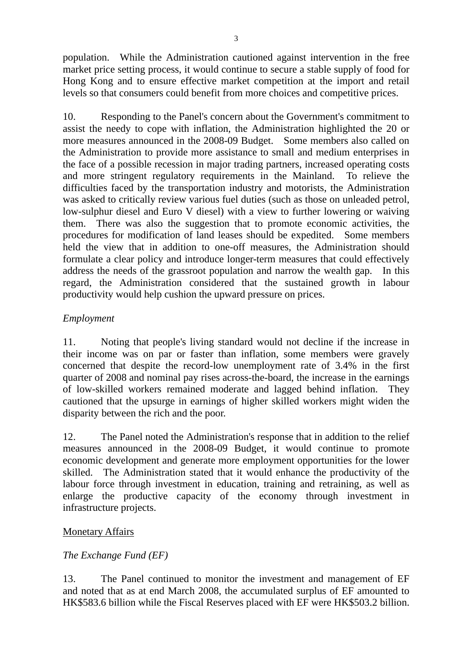population. While the Administration cautioned against intervention in the free market price setting process, it would continue to secure a stable supply of food for Hong Kong and to ensure effective market competition at the import and retail levels so that consumers could benefit from more choices and competitive prices.

10. Responding to the Panel's concern about the Government's commitment to assist the needy to cope with inflation, the Administration highlighted the 20 or more measures announced in the 2008-09 Budget. Some members also called on the Administration to provide more assistance to small and medium enterprises in the face of a possible recession in major trading partners, increased operating costs and more stringent regulatory requirements in the Mainland. To relieve the difficulties faced by the transportation industry and motorists, the Administration was asked to critically review various fuel duties (such as those on unleaded petrol, low-sulphur diesel and Euro V diesel) with a view to further lowering or waiving them. There was also the suggestion that to promote economic activities, the procedures for modification of land leases should be expedited. Some members held the view that in addition to one-off measures, the Administration should formulate a clear policy and introduce longer-term measures that could effectively address the needs of the grassroot population and narrow the wealth gap. In this regard, the Administration considered that the sustained growth in labour productivity would help cushion the upward pressure on prices.

## *Employment*

11. Noting that people's living standard would not decline if the increase in their income was on par or faster than inflation, some members were gravely concerned that despite the record-low unemployment rate of 3.4% in the first quarter of 2008 and nominal pay rises across-the-board, the increase in the earnings of low-skilled workers remained moderate and lagged behind inflation. They cautioned that the upsurge in earnings of higher skilled workers might widen the disparity between the rich and the poor.

12. The Panel noted the Administration's response that in addition to the relief measures announced in the 2008-09 Budget, it would continue to promote economic development and generate more employment opportunities for the lower skilled. The Administration stated that it would enhance the productivity of the labour force through investment in education, training and retraining, as well as enlarge the productive capacity of the economy through investment in infrastructure projects.

### Monetary Affairs

### *The Exchange Fund (EF)*

13. The Panel continued to monitor the investment and management of EF and noted that as at end March 2008, the accumulated surplus of EF amounted to HK\$583.6 billion while the Fiscal Reserves placed with EF were HK\$503.2 billion.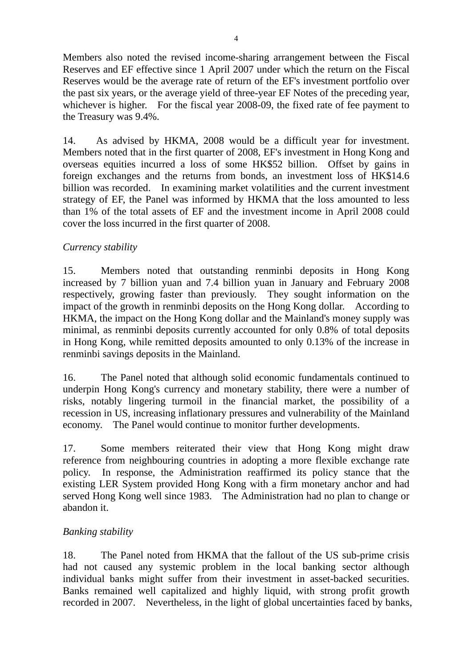Members also noted the revised income-sharing arrangement between the Fiscal Reserves and EF effective since 1 April 2007 under which the return on the Fiscal Reserves would be the average rate of return of the EF's investment portfolio over the past six years, or the average yield of three-year EF Notes of the preceding year, whichever is higher. For the fiscal year 2008-09, the fixed rate of fee payment to the Treasury was 9.4%.

14. As advised by HKMA, 2008 would be a difficult year for investment. Members noted that in the first quarter of 2008, EF's investment in Hong Kong and overseas equities incurred a loss of some HK\$52 billion. Offset by gains in foreign exchanges and the returns from bonds, an investment loss of HK\$14.6 billion was recorded. In examining market volatilities and the current investment strategy of EF, the Panel was informed by HKMA that the loss amounted to less than 1% of the total assets of EF and the investment income in April 2008 could cover the loss incurred in the first quarter of 2008.

## *Currency stability*

15. Members noted that outstanding renminbi deposits in Hong Kong increased by 7 billion yuan and 7.4 billion yuan in January and February 2008 respectively, growing faster than previously. They sought information on the impact of the growth in renminbi deposits on the Hong Kong dollar. According to HKMA, the impact on the Hong Kong dollar and the Mainland's money supply was minimal, as renminbi deposits currently accounted for only 0.8% of total deposits in Hong Kong, while remitted deposits amounted to only 0.13% of the increase in renminbi savings deposits in the Mainland.

16. The Panel noted that although solid economic fundamentals continued to underpin Hong Kong's currency and monetary stability, there were a number of risks, notably lingering turmoil in the financial market, the possibility of a recession in US, increasing inflationary pressures and vulnerability of the Mainland economy. The Panel would continue to monitor further developments.

17. Some members reiterated their view that Hong Kong might draw reference from neighbouring countries in adopting a more flexible exchange rate policy. In response, the Administration reaffirmed its policy stance that the existing LER System provided Hong Kong with a firm monetary anchor and had served Hong Kong well since 1983. The Administration had no plan to change or abandon it.

### *Banking stability*

18. The Panel noted from HKMA that the fallout of the US sub-prime crisis had not caused any systemic problem in the local banking sector although individual banks might suffer from their investment in asset-backed securities. Banks remained well capitalized and highly liquid, with strong profit growth recorded in 2007. Nevertheless, in the light of global uncertainties faced by banks,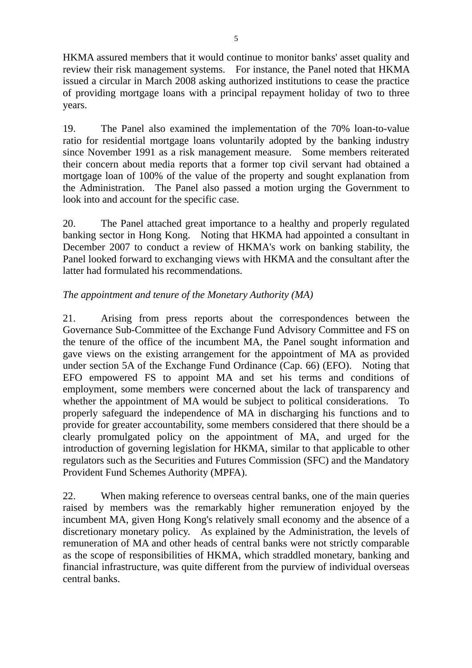HKMA assured members that it would continue to monitor banks' asset quality and review their risk management systems. For instance, the Panel noted that HKMA issued a circular in March 2008 asking authorized institutions to cease the practice of providing mortgage loans with a principal repayment holiday of two to three years.

19. The Panel also examined the implementation of the 70% loan-to-value ratio for residential mortgage loans voluntarily adopted by the banking industry since November 1991 as a risk management measure. Some members reiterated their concern about media reports that a former top civil servant had obtained a mortgage loan of 100% of the value of the property and sought explanation from the Administration. The Panel also passed a motion urging the Government to look into and account for the specific case.

20. The Panel attached great importance to a healthy and properly regulated banking sector in Hong Kong. Noting that HKMA had appointed a consultant in December 2007 to conduct a review of HKMA's work on banking stability, the Panel looked forward to exchanging views with HKMA and the consultant after the latter had formulated his recommendations.

## *The appointment and tenure of the Monetary Authority (MA)*

21. Arising from press reports about the correspondences between the Governance Sub-Committee of the Exchange Fund Advisory Committee and FS on the tenure of the office of the incumbent MA, the Panel sought information and gave views on the existing arrangement for the appointment of MA as provided under section 5A of the Exchange Fund Ordinance (Cap. 66) (EFO). Noting that EFO empowered FS to appoint MA and set his terms and conditions of employment, some members were concerned about the lack of transparency and whether the appointment of MA would be subject to political considerations. To properly safeguard the independence of MA in discharging his functions and to provide for greater accountability, some members considered that there should be a clearly promulgated policy on the appointment of MA, and urged for the introduction of governing legislation for HKMA, similar to that applicable to other regulators such as the Securities and Futures Commission (SFC) and the Mandatory Provident Fund Schemes Authority (MPFA).

22. When making reference to overseas central banks, one of the main queries raised by members was the remarkably higher remuneration enjoyed by the incumbent MA, given Hong Kong's relatively small economy and the absence of a discretionary monetary policy. As explained by the Administration, the levels of remuneration of MA and other heads of central banks were not strictly comparable as the scope of responsibilities of HKMA, which straddled monetary, banking and financial infrastructure, was quite different from the purview of individual overseas central banks.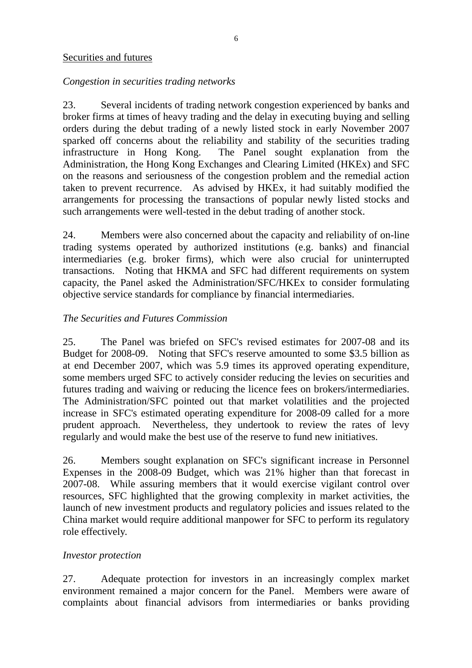#### Securities and futures

## *Congestion in securities trading networks*

23. Several incidents of trading network congestion experienced by banks and broker firms at times of heavy trading and the delay in executing buying and selling orders during the debut trading of a newly listed stock in early November 2007 sparked off concerns about the reliability and stability of the securities trading infrastructure in Hong Kong. The Panel sought explanation from the Administration, the Hong Kong Exchanges and Clearing Limited (HKEx) and SFC on the reasons and seriousness of the congestion problem and the remedial action taken to prevent recurrence. As advised by HKEx, it had suitably modified the arrangements for processing the transactions of popular newly listed stocks and such arrangements were well-tested in the debut trading of another stock.

24. Members were also concerned about the capacity and reliability of on-line trading systems operated by authorized institutions (e.g. banks) and financial intermediaries (e.g. broker firms), which were also crucial for uninterrupted transactions. Noting that HKMA and SFC had different requirements on system capacity, the Panel asked the Administration/SFC/HKEx to consider formulating objective service standards for compliance by financial intermediaries.

## *The Securities and Futures Commission*

25. The Panel was briefed on SFC's revised estimates for 2007-08 and its Budget for 2008-09. Noting that SFC's reserve amounted to some \$3.5 billion as at end December 2007, which was 5.9 times its approved operating expenditure, some members urged SFC to actively consider reducing the levies on securities and futures trading and waiving or reducing the licence fees on brokers/intermediaries. The Administration/SFC pointed out that market volatilities and the projected increase in SFC's estimated operating expenditure for 2008-09 called for a more prudent approach. Nevertheless, they undertook to review the rates of levy regularly and would make the best use of the reserve to fund new initiatives.

26. Members sought explanation on SFC's significant increase in Personnel Expenses in the 2008-09 Budget, which was 21% higher than that forecast in 2007-08. While assuring members that it would exercise vigilant control over resources, SFC highlighted that the growing complexity in market activities, the launch of new investment products and regulatory policies and issues related to the China market would require additional manpower for SFC to perform its regulatory role effectively.

### *Investor protection*

27. Adequate protection for investors in an increasingly complex market environment remained a major concern for the Panel. Members were aware of complaints about financial advisors from intermediaries or banks providing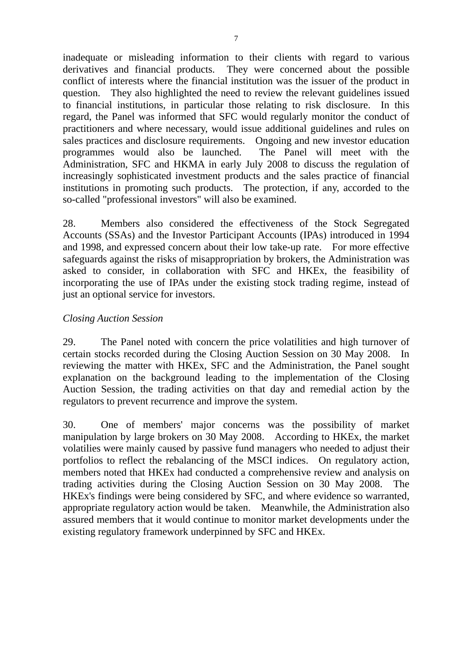inadequate or misleading information to their clients with regard to various derivatives and financial products. They were concerned about the possible conflict of interests where the financial institution was the issuer of the product in question. They also highlighted the need to review the relevant guidelines issued to financial institutions, in particular those relating to risk disclosure. In this regard, the Panel was informed that SFC would regularly monitor the conduct of practitioners and where necessary, would issue additional guidelines and rules on sales practices and disclosure requirements. Ongoing and new investor education programmes would also be launched. The Panel will meet with the Administration, SFC and HKMA in early July 2008 to discuss the regulation of increasingly sophisticated investment products and the sales practice of financial institutions in promoting such products. The protection, if any, accorded to the so-called "professional investors" will also be examined.

28. Members also considered the effectiveness of the Stock Segregated Accounts (SSAs) and the Investor Participant Accounts (IPAs) introduced in 1994 and 1998, and expressed concern about their low take-up rate. For more effective safeguards against the risks of misappropriation by brokers, the Administration was asked to consider, in collaboration with SFC and HKEx, the feasibility of incorporating the use of IPAs under the existing stock trading regime, instead of just an optional service for investors.

### *Closing Auction Session*

29. The Panel noted with concern the price volatilities and high turnover of certain stocks recorded during the Closing Auction Session on 30 May 2008. In reviewing the matter with HKEx, SFC and the Administration, the Panel sought explanation on the background leading to the implementation of the Closing Auction Session, the trading activities on that day and remedial action by the regulators to prevent recurrence and improve the system.

30. One of members' major concerns was the possibility of market manipulation by large brokers on 30 May 2008. According to HKEx, the market volatilies were mainly caused by passive fund managers who needed to adjust their portfolios to reflect the rebalancing of the MSCI indices. On regulatory action, members noted that HKEx had conducted a comprehensive review and analysis on trading activities during the Closing Auction Session on 30 May 2008. The HKEx's findings were being considered by SFC, and where evidence so warranted, appropriate regulatory action would be taken. Meanwhile, the Administration also assured members that it would continue to monitor market developments under the existing regulatory framework underpinned by SFC and HKEx.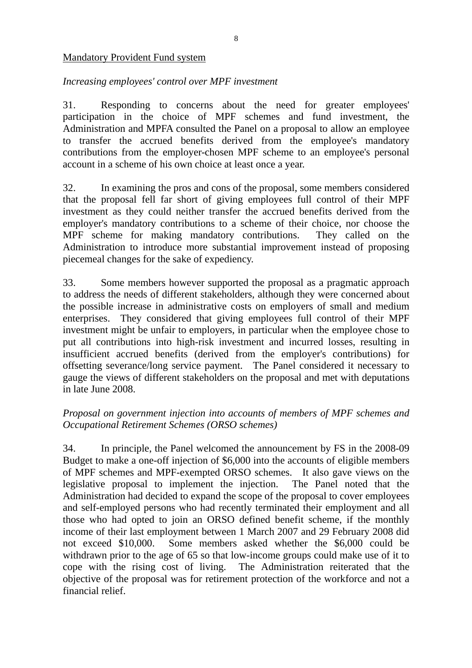#### Mandatory Provident Fund system

## *Increasing employees' control over MPF investment*

31. Responding to concerns about the need for greater employees' participation in the choice of MPF schemes and fund investment, the Administration and MPFA consulted the Panel on a proposal to allow an employee to transfer the accrued benefits derived from the employee's mandatory contributions from the employer-chosen MPF scheme to an employee's personal account in a scheme of his own choice at least once a year.

32. In examining the pros and cons of the proposal, some members considered that the proposal fell far short of giving employees full control of their MPF investment as they could neither transfer the accrued benefits derived from the employer's mandatory contributions to a scheme of their choice, nor choose the MPF scheme for making mandatory contributions. They called on the Administration to introduce more substantial improvement instead of proposing piecemeal changes for the sake of expediency.

33. Some members however supported the proposal as a pragmatic approach to address the needs of different stakeholders, although they were concerned about the possible increase in administrative costs on employers of small and medium enterprises. They considered that giving employees full control of their MPF investment might be unfair to employers, in particular when the employee chose to put all contributions into high-risk investment and incurred losses, resulting in insufficient accrued benefits (derived from the employer's contributions) for offsetting severance/long service payment. The Panel considered it necessary to gauge the views of different stakeholders on the proposal and met with deputations in late June 2008.

## *Proposal on government injection into accounts of members of MPF schemes and Occupational Retirement Schemes (ORSO schemes)*

34. In principle, the Panel welcomed the announcement by FS in the 2008-09 Budget to make a one-off injection of \$6,000 into the accounts of eligible members of MPF schemes and MPF-exempted ORSO schemes. It also gave views on the legislative proposal to implement the injection. The Panel noted that the Administration had decided to expand the scope of the proposal to cover employees and self-employed persons who had recently terminated their employment and all those who had opted to join an ORSO defined benefit scheme, if the monthly income of their last employment between 1 March 2007 and 29 February 2008 did not exceed \$10,000. Some members asked whether the \$6,000 could be withdrawn prior to the age of 65 so that low-income groups could make use of it to cope with the rising cost of living. The Administration reiterated that the objective of the proposal was for retirement protection of the workforce and not a financial relief.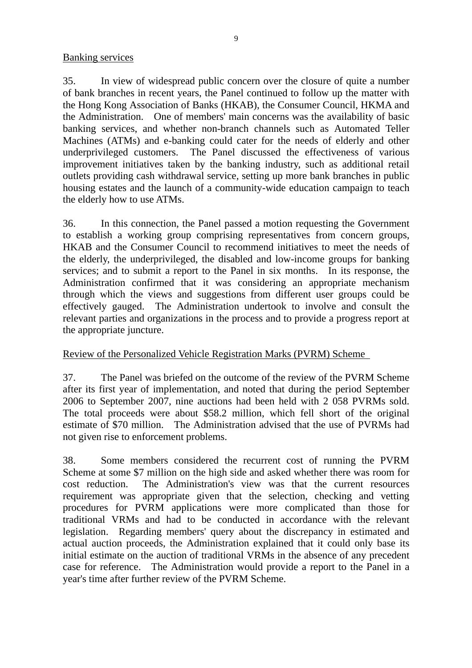#### Banking services

35. In view of widespread public concern over the closure of quite a number of bank branches in recent years, the Panel continued to follow up the matter with the Hong Kong Association of Banks (HKAB), the Consumer Council, HKMA and the Administration. One of members' main concerns was the availability of basic banking services, and whether non-branch channels such as Automated Teller Machines (ATMs) and e-banking could cater for the needs of elderly and other underprivileged customers. The Panel discussed the effectiveness of various improvement initiatives taken by the banking industry, such as additional retail outlets providing cash withdrawal service, setting up more bank branches in public housing estates and the launch of a community-wide education campaign to teach the elderly how to use ATMs.

36. In this connection, the Panel passed a motion requesting the Government to establish a working group comprising representatives from concern groups, HKAB and the Consumer Council to recommend initiatives to meet the needs of the elderly, the underprivileged, the disabled and low-income groups for banking services; and to submit a report to the Panel in six months. In its response, the Administration confirmed that it was considering an appropriate mechanism through which the views and suggestions from different user groups could be effectively gauged. The Administration undertook to involve and consult the relevant parties and organizations in the process and to provide a progress report at the appropriate juncture.

### Review of the Personalized Vehicle Registration Marks (PVRM) Scheme

37. The Panel was briefed on the outcome of the review of the PVRM Scheme after its first year of implementation, and noted that during the period September 2006 to September 2007, nine auctions had been held with 2 058 PVRMs sold. The total proceeds were about \$58.2 million, which fell short of the original estimate of \$70 million. The Administration advised that the use of PVRMs had not given rise to enforcement problems.

38. Some members considered the recurrent cost of running the PVRM Scheme at some \$7 million on the high side and asked whether there was room for cost reduction. The Administration's view was that the current resources requirement was appropriate given that the selection, checking and vetting procedures for PVRM applications were more complicated than those for traditional VRMs and had to be conducted in accordance with the relevant legislation. Regarding members' query about the discrepancy in estimated and actual auction proceeds, the Administration explained that it could only base its initial estimate on the auction of traditional VRMs in the absence of any precedent case for reference. The Administration would provide a report to the Panel in a year's time after further review of the PVRM Scheme.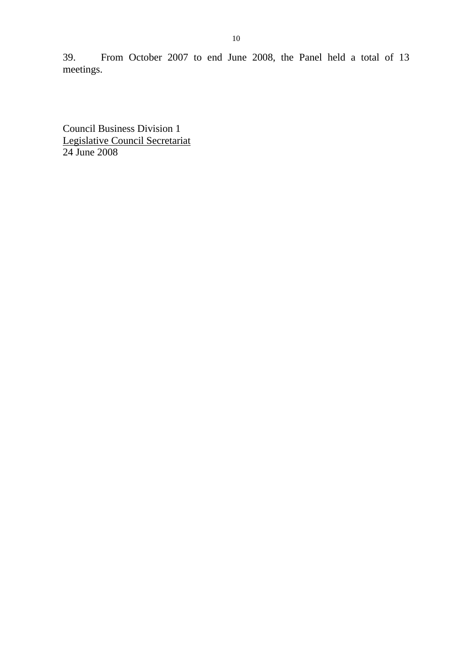39. From October 2007 to end June 2008, the Panel held a total of 13 meetings.

Council Business Division 1 Legislative Council Secretariat 24 June 2008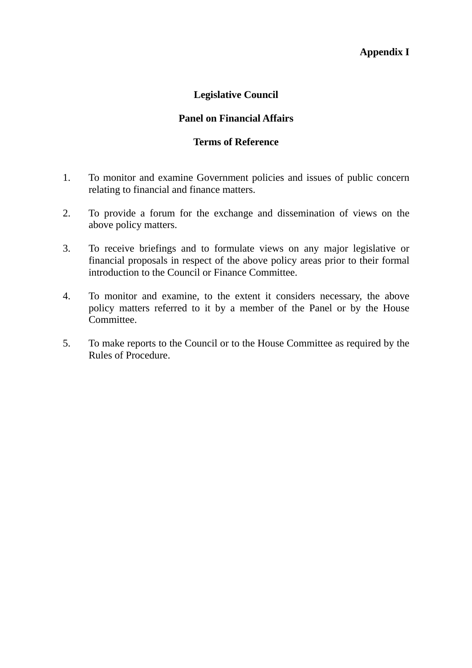#### **Appendix I**

#### **Legislative Council**

#### **Panel on Financial Affairs**

#### **Terms of Reference**

- 1. To monitor and examine Government policies and issues of public concern relating to financial and finance matters.
- 2. To provide a forum for the exchange and dissemination of views on the above policy matters.
- 3. To receive briefings and to formulate views on any major legislative or financial proposals in respect of the above policy areas prior to their formal introduction to the Council or Finance Committee.
- 4. To monitor and examine, to the extent it considers necessary, the above policy matters referred to it by a member of the Panel or by the House Committee.
- 5. To make reports to the Council or to the House Committee as required by the Rules of Procedure.